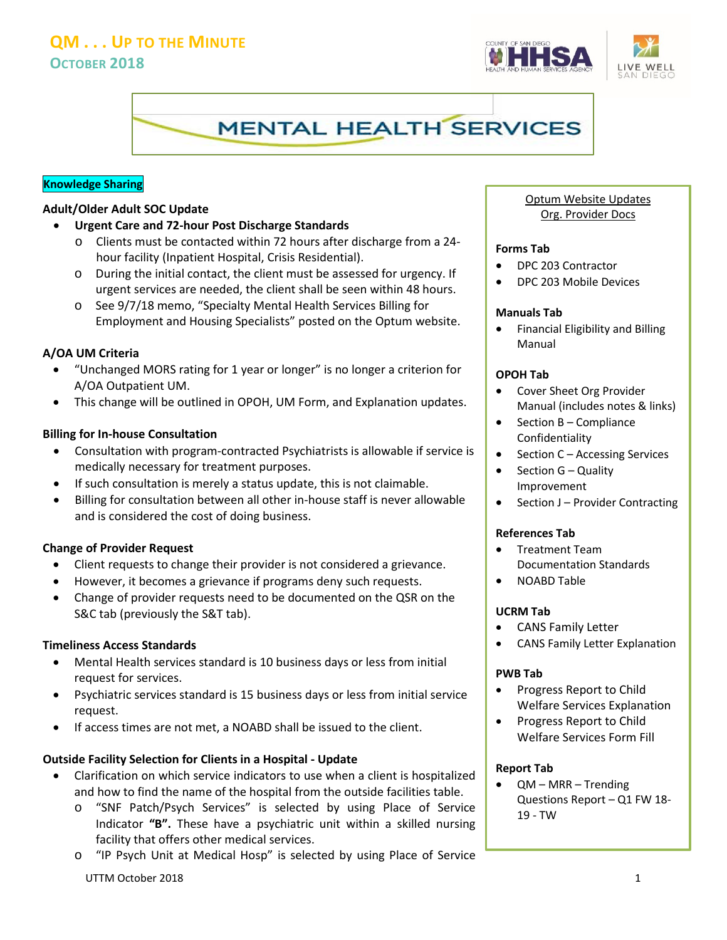# **QM . . . UP TO THE MINUTE OCTOBER 2018**





## **Knowledge Sharing**

#### **Adult/Older Adult SOC Update**

- **Urgent Care and 72-hour Post Discharge Standards**
	- o Clients must be contacted within 72 hours after discharge from a 24 hour facility (Inpatient Hospital, Crisis Residential).
	- o During the initial contact, the client must be assessed for urgency. If urgent services are needed, the client shall be seen within 48 hours.
	- o See 9/7/18 memo, "Specialty Mental Health Services Billing for Employment and Housing Specialists" posted on the Optum website.

## **A/OA UM Criteria**

- "Unchanged MORS rating for 1 year or longer" is no longer a criterion for A/OA Outpatient UM.
- This change will be outlined in OPOH, UM Form, and Explanation updates.

## **Billing for In-house Consultation**

- Consultation with program-contracted Psychiatrists is allowable if service is medically necessary for treatment purposes.
- If such consultation is merely a status update, this is not claimable.
- Billing for consultation between all other in-house staff is never allowable and is considered the cost of doing business.

#### **Change of Provider Request**

- Client requests to change their provider is not considered a grievance.
- However, it becomes a grievance if programs deny such requests.
- Change of provider requests need to be documented on the QSR on the S&C tab (previously the S&T tab).

## **Timeliness Access Standards**

- Mental Health services standard is 10 business days or less from initial request for services.
- Psychiatric services standard is 15 business days or less from initial service request.
- If access times are not met, a NOABD shall be issued to the client.

## **Outside Facility Selection for Clients in a Hospital - Update**

- Clarification on which service indicators to use when a client is hospitalized and how to find the name of the hospital from the outside facilities table.
	- o "SNF Patch/Psych Services" is selected by using Place of Service Indicator **"B".** These have a psychiatric unit within a skilled nursing facility that offers other medical services.
	- UTTM October 2018 1 o "IP Psych Unit at Medical Hosp" is selected by using Place of Service

# Optum Website Updates Org. Provider Docs

#### **Forms Tab**

- DPC 203 Contractor
- DPC 203 Mobile Devices

#### **Manuals Tab**

• Financial Eligibility and Billing Manual

## **OPOH Tab**

- Cover Sheet Org Provider Manual (includes notes & links)
- Section B Compliance Confidentiality
- Section C Accessing Services
- Section G Quality Improvement
- Section J Provider Contracting

## **References Tab**

- Treatment Team Documentation Standards
- NOABD Table

#### **UCRM Tab**

- CANS Family Letter
- CANS Family Letter Explanation

#### **PWB Tab**

- Progress Report to Child Welfare Services Explanation
- Progress Report to Child Welfare Services Form Fill

## **Report Tab**

• QM – MRR – Trending Questions Report – Q1 FW 18- 19 - TW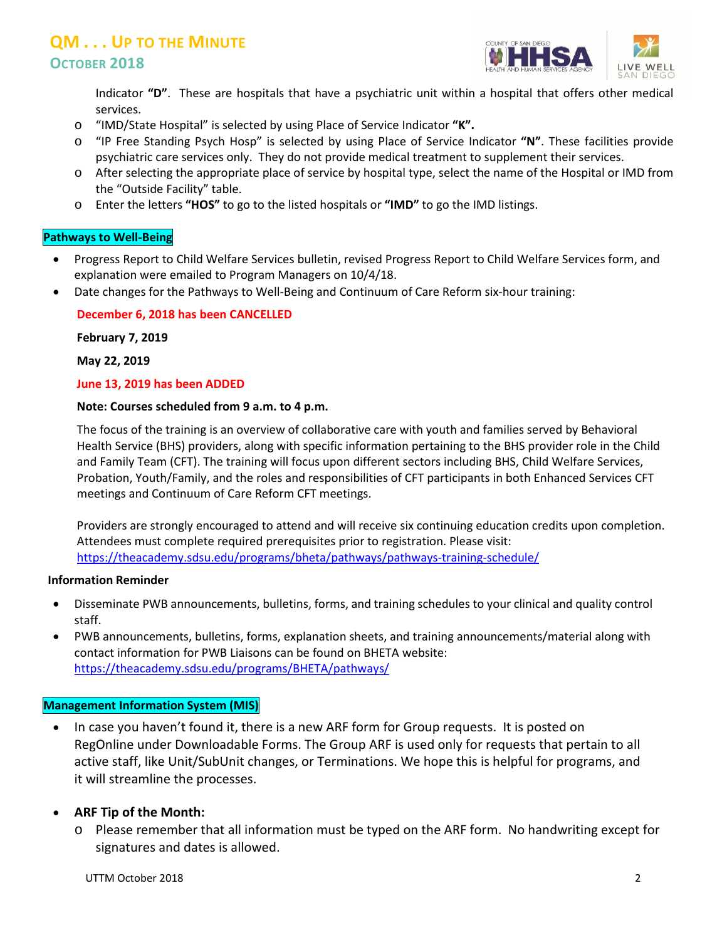# **QM . . . UP TO THE MINUTE OCTOBER 2018**



Indicator **"D"**. These are hospitals that have a psychiatric unit within a hospital that offers other medical services.

- o "IMD/State Hospital" is selected by using Place of Service Indicator **"K".**
- o "IP Free Standing Psych Hosp" is selected by using Place of Service Indicator **"N"**. These facilities provide psychiatric care services only. They do not provide medical treatment to supplement their services.
- o After selecting the appropriate place of service by hospital type, select the name of the Hospital or IMD from the "Outside Facility" table.
- o Enter the letters **"HOS"** to go to the listed hospitals or **"IMD"** to go the IMD listings.

## **Pathways to Well-Being**

- Progress Report to Child Welfare Services bulletin, revised Progress Report to Child Welfare Services form, and explanation were emailed to Program Managers on 10/4/18.
- Date changes for the Pathways to Well-Being and Continuum of Care Reform six-hour training:

## **December 6, 2018 has been CANCELLED**

**February 7, 2019** 

**May 22, 2019**

## **June 13, 2019 has been ADDED**

## **Note: Courses scheduled from 9 a.m. to 4 p.m.**

The focus of the training is an overview of collaborative care with youth and families served by Behavioral Health Service (BHS) providers, along with specific information pertaining to the BHS provider role in the Child and Family Team (CFT). The training will focus upon different sectors including BHS, Child Welfare Services, Probation, Youth/Family, and the roles and responsibilities of CFT participants in both Enhanced Services CFT meetings and Continuum of Care Reform CFT meetings.

Providers are strongly encouraged to attend and will receive six continuing education credits upon completion. Attendees must complete required prerequisites prior to registration. Please visit: <https://theacademy.sdsu.edu/programs/bheta/pathways/pathways-training-schedule/>

#### **Information Reminder**

- Disseminate PWB announcements, bulletins, forms, and training schedules to your clinical and quality control staff.
- PWB announcements, bulletins, forms, explanation sheets, and training announcements/material along with contact information for PWB Liaisons can be found on BHETA website: <https://theacademy.sdsu.edu/programs/BHETA/pathways/>

## **Management Information System (MIS)**

• In case you haven't found it, there is a new ARF form for Group requests. It is posted on RegOnline under Downloadable Forms. The Group ARF is used only for requests that pertain to all active staff, like Unit/SubUnit changes, or Terminations. We hope this is helpful for programs, and it will streamline the processes.

# • **ARF Tip of the Month:**

o Please remember that all information must be typed on the ARF form. No handwriting except for signatures and dates is allowed.